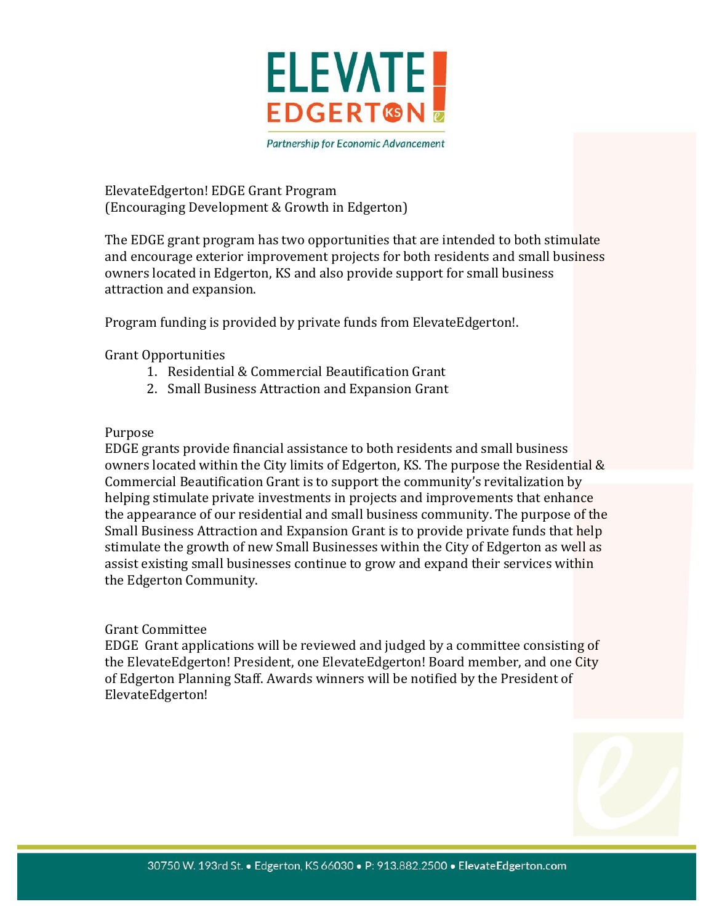

**Partnership for Economic Advancement** 

ElevateEdgerton! EDGE Grant Program (Encouraging Development & Growth in Edgerton)

The EDGE grant program has two opportunities that are intended to both stimulate and encourage exterior improvement projects for both residents and small business owners located in Edgerton, KS and also provide support for small business attraction and expansion.

Program funding is provided by private funds from ElevateEdgerton!.

Grant Opportunities

- 1. Residential & Commercial Beautification Grant
- 2. Small Business Attraction and Expansion Grant

## Purpose

EDGE grants provide financial assistance to both residents and small business owners located within the City limits of Edgerton, KS. The purpose the Residential & Commercial Beautification Grant is to support the community's revitalization by helping stimulate private investments in projects and improvements that enhance the appearance of our residential and small business community. The purpose of the Small Business Attraction and Expansion Grant is to provide private funds that help stimulate the growth of new Small Businesses within the City of Edgerton as well as assist existing small businesses continue to grow and expand their services within the Edgerton Community.

## Grant Committee

EDGE Grant applications will be reviewed and judged by a committee consisting of the ElevateEdgerton! President, one ElevateEdgerton! Board member, and one City of Edgerton Planning Staff. Awards winners will be notified by the President of ElevateEdgerton!

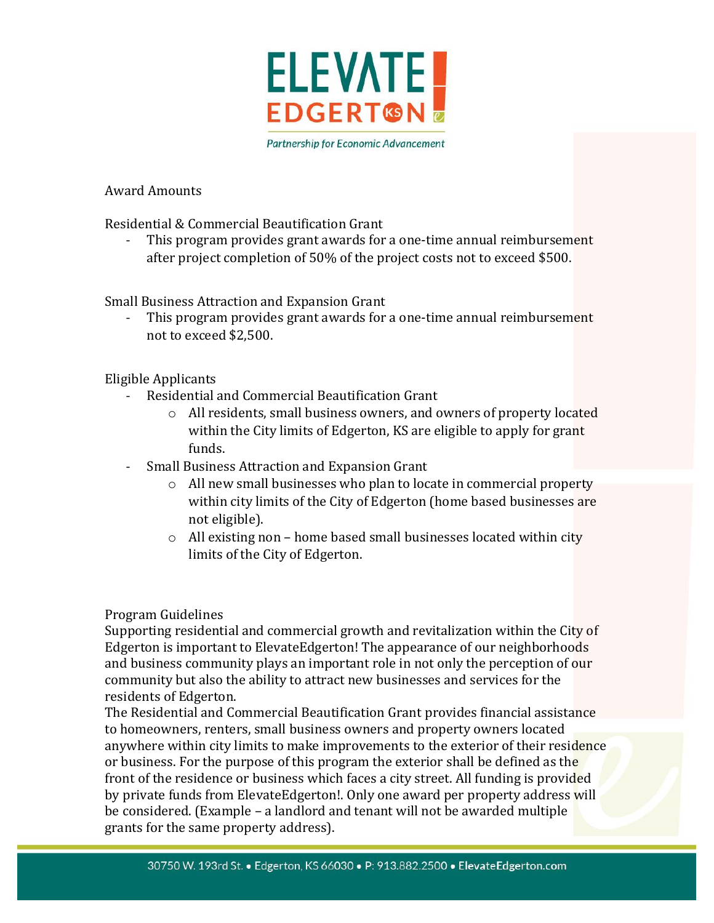

Award Amounts

Residential & Commercial Beautification Grant

- This program provides grant awards for a one-time annual reimbursement after project completion of 50% of the project costs not to exceed \$500.

Small Business Attraction and Expansion Grant

- This program provides grant awards for a one-time annual reimbursement not to exceed \$2,500.

Eligible Applicants

- Residential and Commercial Beautification Grant
	- o All residents, small business owners, and owners of property located within the City limits of Edgerton, KS are eligible to apply for grant funds.
- Small Business Attraction and Expansion Grant
	- o All new small businesses who plan to locate in commercial property within city limits of the City of Edgerton (home based businesses are not eligible).
	- $\circ$  All existing non home based small businesses located within city limits of the City of Edgerton.

Program Guidelines

Supporting residential and commercial growth and revitalization within the City of Edgerton is important to ElevateEdgerton! The appearance of our neighborhoods and business community plays an important role in not only the perception of our community but also the ability to attract new businesses and services for the residents of Edgerton.

The Residential and Commercial Beautification Grant provides financial assistance to homeowners, renters, small business owners and property owners located anywhere within city limits to make improvements to the exterior of their residence or business. For the purpose of this program the exterior shall be defined as the front of the residence or business which faces a city street. All funding is provided by private funds from ElevateEdgerton!. Only one award per property address will be considered. (Example – a landlord and tenant will not be awarded multiple grants for the same property address).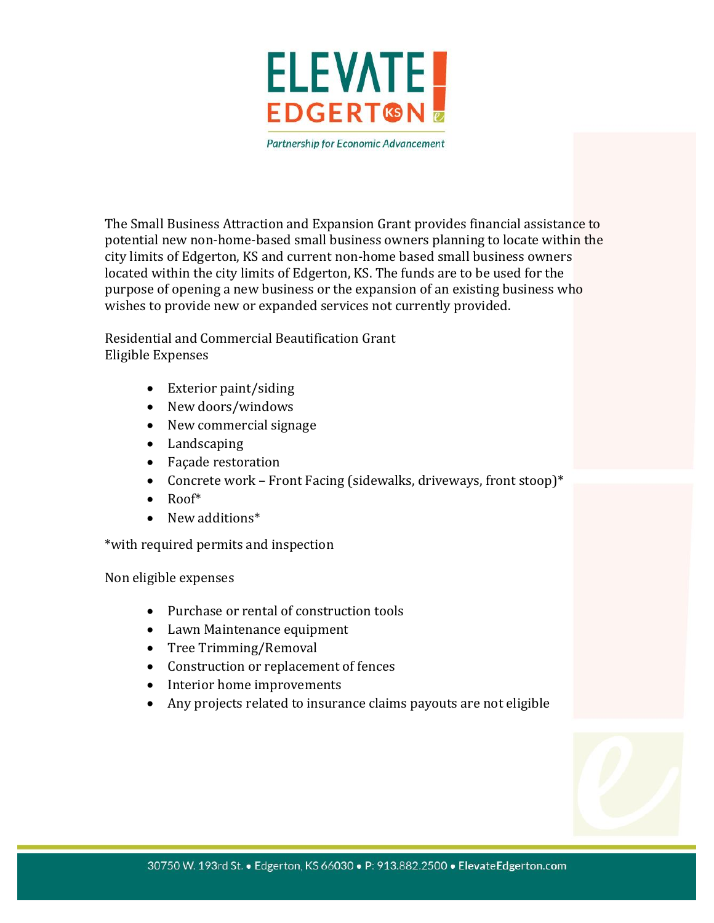

The Small Business Attraction and Expansion Grant provides financial assistance to potential new non-home-based small business owners planning to locate within the city limits of Edgerton, KS and current non-home based small business owners located within the city limits of Edgerton, KS. The funds are to be used for the purpose of opening a new business or the expansion of an existing business who wishes to provide new or expanded services not currently provided.

Residential and Commercial Beautification Grant Eligible Expenses

- Exterior paint/siding
- New doors/windows
- New commercial signage
- Landscaping
- Façade restoration
- Concrete work Front Facing (sidewalks, driveways, front stoop)\*
- $\bullet$  Roof\*
- New additions\*

\*with required permits and inspection

Non eligible expenses

- Purchase or rental of construction tools
- Lawn Maintenance equipment
- Tree Trimming/Removal
- Construction or replacement of fences
- Interior home improvements
- Any projects related to insurance claims payouts are not eligible